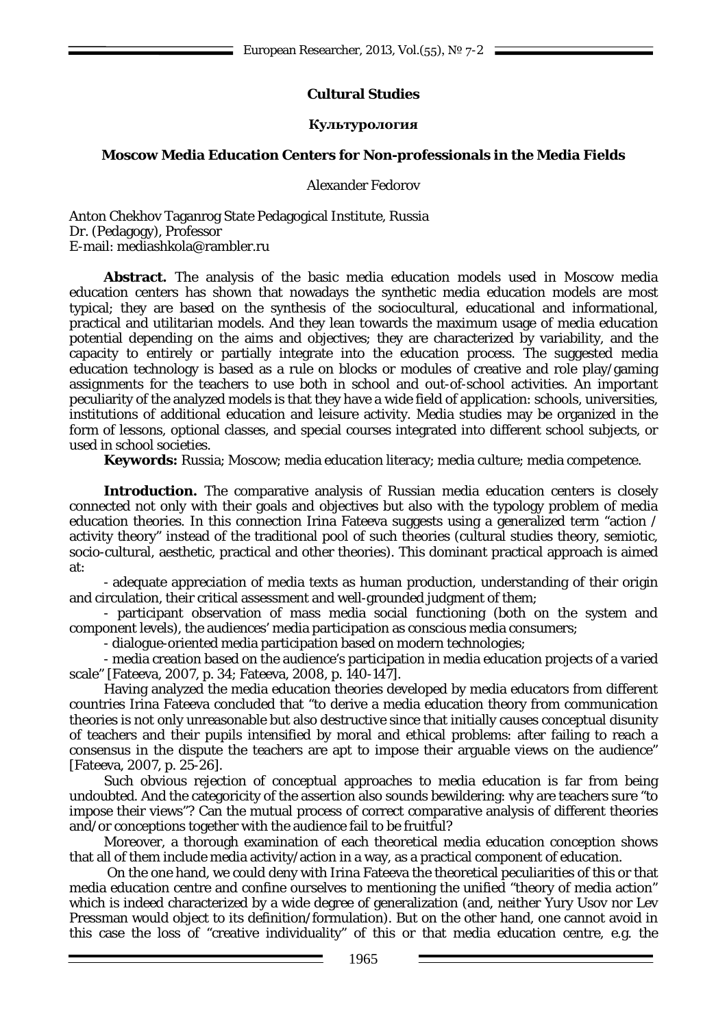# **Cultural Studies**

### **Культурология**

### **Moscow Media Education Centers for Non-professionals in the Media Fields**

Alexander Fedorov

Anton Chekhov Taganrog State Pedagogical Institute, Russia Dr. (Pedagogy), Professor E-mail: mediashkola@rambler.ru

**Abstract.** The analysis of the basic media education models used in Moscow media education centers has shown that nowadays the synthetic media education models are most typical; they are based on the synthesis of the sociocultural, educational and informational, practical and utilitarian models. And they lean towards the maximum usage of media education potential depending on the aims and objectives; they are characterized by variability, and the capacity to entirely or partially integrate into the education process. The suggested media education technology is based as a rule on blocks or modules of creative and role play/gaming assignments for the teachers to use both in school and out-of-school activities. An important peculiarity of the analyzed models is that they have a wide field of application: schools, universities, institutions of additional education and leisure activity. Media studies may be organized in the form of lessons, optional classes, and special courses integrated into different school subjects, or used in school societies.

**Keywords:** Russia; Moscow; media education literacy; media culture; media competence.

**Introduction.** The comparative analysis of Russian media education centers is closely connected not only with their goals and objectives but also with the typology problem of media education theories. In this connection Irina Fateeva suggests using a generalized term "action / activity theory" instead of the traditional pool of such theories (cultural studies theory, semiotic, socio-cultural, aesthetic, practical and other theories). This dominant practical approach is aimed at:

- adequate appreciation of media texts as human production, understanding of their origin and circulation, their critical assessment and well-grounded judgment of them;

- participant observation of mass media social functioning (both on the system and component levels), the audiences' media participation as conscious media consumers;

- dialogue-oriented media participation based on modern technologies;

- media creation based on the audience's participation in media education projects of a varied scale" [Fateeva, 2007, p. 34; Fateeva, 2008, p. 140-147].

Having analyzed the media education theories developed by media educators from different countries Irina Fateeva concluded that "to derive a media education theory from communication theories is not only unreasonable but also destructive since that initially causes conceptual disunity of teachers and their pupils intensified by moral and ethical problems: after failing to reach a consensus in the dispute the teachers are apt to impose their arguable views on the audience" [Fateeva, 2007, p. 25-26].

Such obvious rejection of conceptual approaches to media education is far from being undoubted. And the categoricity of the assertion also sounds bewildering: why are teachers sure "to impose their views"? Can the mutual process of correct comparative analysis of different theories and/or conceptions together with the audience fail to be fruitful?

Moreover, a thorough examination of each theoretical media education conception shows that all of them include media activity/action in a way, as a practical component of education.

On the one hand, we could deny with Irina Fateeva the theoretical peculiarities of this or that media education centre and confine ourselves to mentioning the unified "theory of media action" which is indeed characterized by a wide degree of generalization (and, neither Yury Usov nor Lev Pressman would object to its definition/formulation). But on the other hand, one cannot avoid in this case the loss of "creative individuality" of this or that media education centre, e.g. the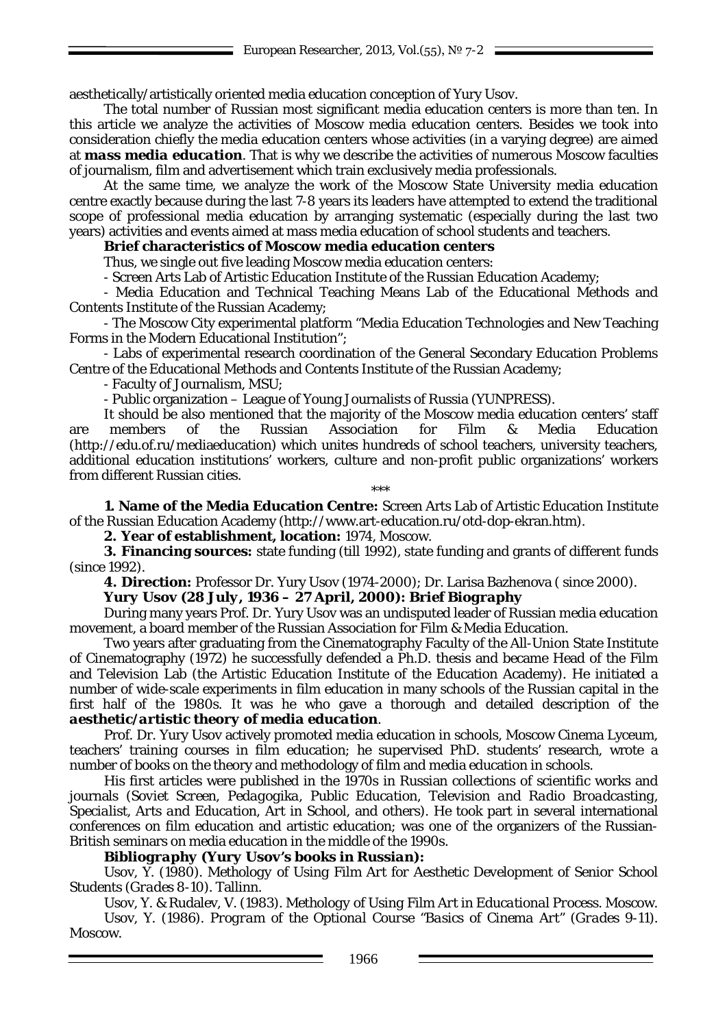aesthetically/artistically oriented media education conception of Yury Usov.

The total number of Russian most significant media education centers is more than ten. In this article we analyze the activities of Moscow media education centers. Besides we took into consideration chiefly the media education centers whose activities (in a varying degree) are aimed at *mass media education*. That is why we describe the activities of numerous Moscow faculties of journalism, film and advertisement which train exclusively media professionals.

At the same time, we analyze the work of the Moscow State University media education centre exactly because during the last 7-8 years its leaders have attempted to extend the traditional scope of professional media education by arranging systematic (especially during the last two years) activities and events aimed at mass media education of school students and teachers.

#### **Brief characteristics of Moscow media education centers**

Thus, we single out five leading Moscow media education centers:

- Screen Arts Lab of Artistic Education Institute of the Russian Education Academy;

- Media Education and Technical Teaching Means Lab of the Educational Methods and Contents Institute of the Russian Academy;

- The Moscow City experimental platform "Media Education Technologies and New Teaching Forms in the Modern Educational Institution";

- Labs of experimental research coordination of the General Secondary Education Problems Centre of the Educational Methods and Contents Institute of the Russian Academy;

- Faculty of Journalism, MSU;

- Public organization – League of Young Journalists of Russia (YUNPRESS).

It should be also mentioned that the majority of the Moscow media education centers' staff are members of the Russian Association for Film & Media Education (http://edu.of.ru/mediaeducation) which unites hundreds of school teachers, university teachers, additional education institutions' workers, culture and non-profit public organizations' workers from different Russian cities. \*\*\*

**1. Name of the Media Education Centre:** Screen Arts Lab of Artistic Education Institute of the Russian Education Academy [\(http://www.art-education.ru/otd-dop-ekran.htm\)](http://www.art-education.ru/otd-dop-ekran.htm).

**2. Year of establishment, location:** 1974, Moscow.

**3. Financing sources:** state funding (till 1992), state funding and grants of different funds (since 1992).

**4. Direction:** Professor Dr. Yury Usov (1974-2000); Dr. Larisa Bazhenova ( since 2000).

### *Yury Usov (28 July, 1936 – 27 April, 2000): Brief Biography*

During many years Prof. Dr. Yury Usov was an undisputed leader of Russian media education movement, a board member of the Russian Association for Film & Media Education.

Two years after graduating from the Cinematography Faculty of the All-Union State Institute of Cinematography (1972) he successfully defended a Ph.D. thesis and became Head of the Film and Television Lab (the Artistic Education Institute of the Education Academy). He initiated a number of wide-scale experiments in film education in many schools of the Russian capital in the first half of the 1980s. It was he who gave a thorough and detailed description of the *aesthetic/artistic theory of media education*.

Prof. Dr. Yury Usov actively promoted media education in schools, Moscow Cinema Lyceum, teachers' training courses in film education; he supervised PhD. students' research, wrote a number of books on the theory and methodology of film and media education in schools.

His first articles were published in the 1970s in Russian collections of scientific works and journals *(Soviet Screen, Pedagogika, Public Education, Television and Radio Broadcasting, Specialist, Arts and Education, Art in School*, and others). He took part in several international conferences on film education and artistic education; was one of the organizers of the Russian-British seminars on media education in the middle of the 1990s.

### *Bibliography (Yury Usov's books in Russian):*

Usov, Y. (1980). *Methology of Using Film Art for Aesthetic Development of Senior School Students (Grades 8-10).* Tallinn.

Usov, Y. & Rudalev, V. (1983). *Methology of Using Film Art in Educational Process.* Moscow. Usov, Y. (1986). *Program of the Optional Course "Basics of Cinema Art" (Grades 9-11).* Moscow.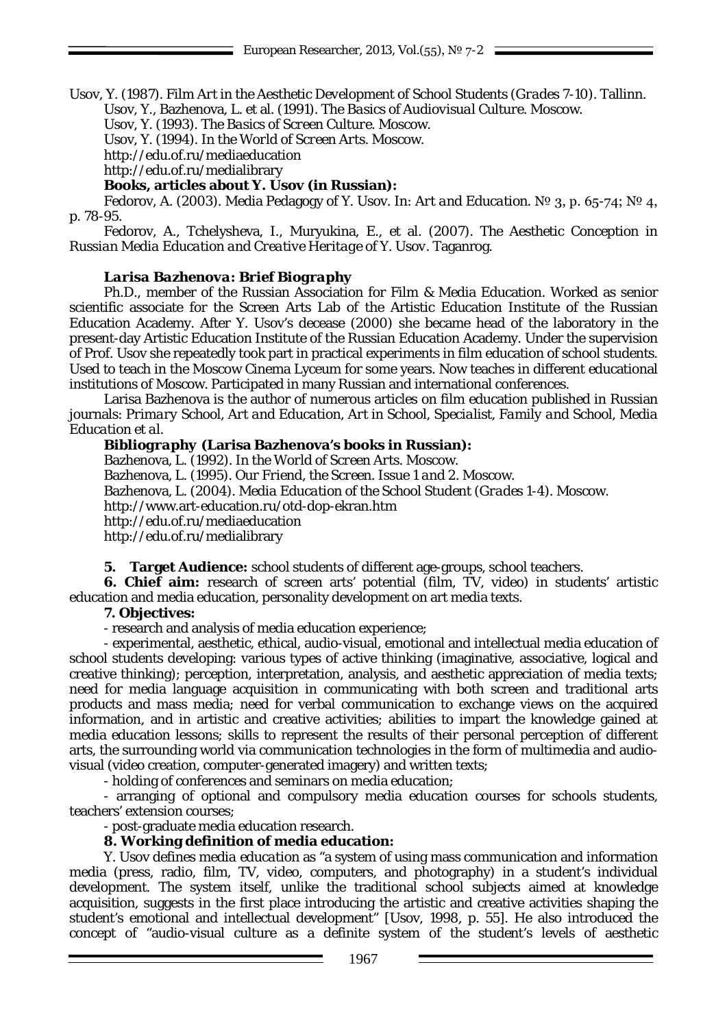European Researcher, 2013, Vol.(55),  $N^{\circ}$  7-2

Usov, Y. (1987). *Film Art in the Aesthetic Development of School Students (Grades 7-10).* Tallinn. Usov, Y., Bazhenova, L. et al. (1991). The *Basics of Audiovisual Culture.* Moscow.

Usov, Y. (1993). *The Basics of Screen Culture.* Moscow.

Usov, Y. (1994). *In the World of Screen Arts.* Moscow.

<http://edu.of.ru/mediaeducation>

<http://edu.of.ru/medialibrary>

### **Books, articles about Y. Usov (in Russian):**

Fedorov, A. (2003). Media Pedagogy of Y. Usov. In: *Art and Education*. № 3, p. 65-74; № 4, p. 78-95.

Fedorov, A., Tchelysheva, I., Muryukina, E., et al. (2007). *The Aesthetic Conception in Russian Media Education and Creative Heritage of Y. Usov*. Taganrog.

# *Larisa Bazhenova: Brief Biography*

Ph.D., member of the Russian Association for Film & Media Education. Worked as senior scientific associate for the Screen Arts Lab of the Artistic Education Institute of the Russian Education Academy. After Y. Usov's decease (2000) she became head of the laboratory in the present-day Artistic Education Institute of the Russian Education Academy. Under the supervision of Prof. Usov she repeatedly took part in practical experiments in film education of school students. Used to teach in the Moscow Cinema Lyceum for some years. Now teaches in different educational institutions of Moscow. Participated in many Russian and international conferences.

Larisa Bazhenova is the author of numerous articles on film education published in Russian journals: *Primary School, Art and Education, Art in School, Specialist, Family and School, Media Education et al.*

## *Bibliography (***Larisa Bazhenova's books in Russian):**

Bazhenova, L. (1992). *In the World of Screen Arts.* Moscow. Bazhenova, L. (1995). *Our Friend, the Screen. Issue 1 and 2.* Moscow. Bazhenova, L. (2004). *Media Education of the School Student (Grades 1-4).* Moscow. <http://www.art-education.ru/otd-dop-ekran.htm> <http://edu.of.ru/mediaeducation> <http://edu.of.ru/medialibrary>

**5. Target Audience:** school students of different age-groups, school teachers.

**6. Chief aim:** research of screen arts' potential (film, TV, video) in students' artistic education and media education, personality development on art media texts.

**7. Objectives:**

- research and analysis of media education experience;

- experimental, aesthetic, ethical, audio-visual, emotional and intellectual media education of school students developing: various types of active thinking (imaginative, associative, logical and creative thinking); perception, interpretation, analysis, and aesthetic appreciation of media texts; need for media language acquisition in communicating with both screen and traditional arts products and mass media; need for verbal communication to exchange views on the acquired information, and in artistic and creative activities; abilities to impart the knowledge gained at media education lessons; skills to represent the results of their personal perception of different arts, the surrounding world via communication technologies in the form of multimedia and audiovisual (video creation, computer-generated imagery) and written texts;

- holding of conferences and seminars on media education;

- arranging of optional and compulsory media education courses for schools students, teachers' extension courses;

- post-graduate media education research.

### **8. Working definition of media education:**

Y. Usov defines *media education* as "a system of using mass communication and information media (press, radio, film, TV, video, computers, and photography) in a student's individual development. The system itself, unlike the traditional school subjects aimed at knowledge acquisition, suggests in the first place introducing the artistic and creative activities shaping the student's emotional and intellectual development" [Usov, 1998, p. 55]. He also introduced the concept of "audio-visual culture as a definite system of the student's levels of aesthetic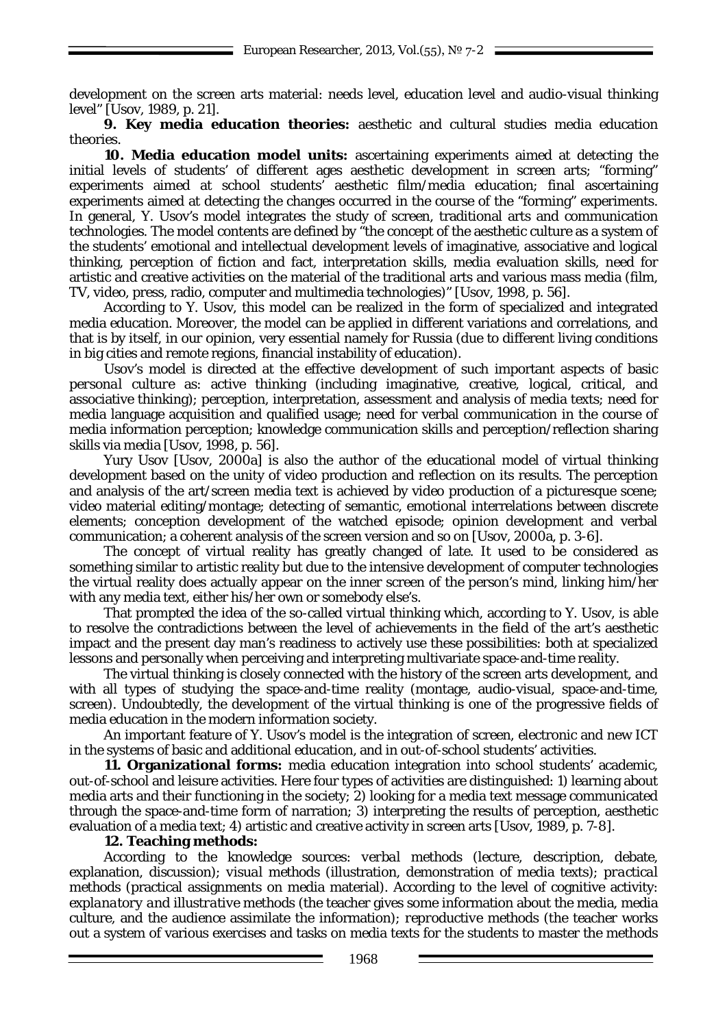development on the screen arts material: needs level, education level and audio-visual thinking level" [Usov, 1989, p. 21].

**9. Key media education theories:** aesthetic and cultural studies media education theories.

**10. Media education model units:** ascertaining experiments aimed at detecting the initial levels of students' of different ages aesthetic development in screen arts; "forming" experiments aimed at school students' aesthetic film/media education; final ascertaining experiments aimed at detecting the changes occurred in the course of the "forming" experiments. In general, Y. Usov's model integrates the study of screen, traditional arts and communication technologies. The model contents are defined by "the concept of the aesthetic culture as a system of the students' emotional and intellectual development levels of imaginative, associative and logical thinking, perception of fiction and fact, interpretation skills, media evaluation skills, need for artistic and creative activities on the material of the traditional arts and various mass media (film, TV, video, press, radio, computer and multimedia technologies)" [Usov, 1998, p. 56].

According to Y. Usov, this model can be realized in the form of specialized and integrated media education. Moreover, the model can be applied in different variations and correlations, and that is by itself, in our opinion, very essential namely for Russia (due to different living conditions in big cities and remote regions, financial instability of education).

Usov's model is directed at the effective development of such important aspects of basic *personal culture* as: active thinking (including imaginative, creative, logical, critical, and associative thinking); perception, interpretation, assessment and analysis of media texts; need for media language acquisition and qualified usage; need for verbal communication in the course of media information perception; knowledge communication skills and perception/reflection sharing skills via media [Usov, 1998, p. 56].

Yury Usov [Usov, 2000a] is also the author of the educational model of virtual thinking development based on the unity of video production and reflection on its results. The perception and analysis of the art/screen media text is achieved by video production of a picturesque scene; video material editing/montage; detecting of semantic, emotional interrelations between discrete elements; conception development of the watched episode; opinion development and verbal communication; a coherent analysis of the screen version and so on [Usov, 2000a, p. 3-6].

The concept of virtual reality has greatly changed of late. It used to be considered as something similar to artistic reality but due to the intensive development of computer technologies the virtual reality does actually appear on the inner screen of the person's mind, linking him/her with any media text, either his/her own or somebody else's.

That prompted the idea of the so-called virtual thinking which, according to Y. Usov, is able to resolve the contradictions between the level of achievements in the field of the art's aesthetic impact and the present day man's readiness to actively use these possibilities: both at specialized lessons and personally when perceiving and interpreting multivariate space-and-time reality.

The virtual thinking is closely connected with the history of the screen arts development, and with all types of studying the space-and-time reality (montage, audio-visual, space-and-time, screen). Undoubtedly, the development of the virtual thinking is one of the progressive fields of media education in the modern information society.

An important feature of Y. Usov's model is the integration of screen, electronic and new ICT in the systems of basic and additional education, and in out-of-school students' activities.

**11. Organizational forms:** media education integration into school students' academic, out-of-school and leisure activities. Here four types of activities are distinguished: 1) learning about media arts and their functioning in the society; 2) looking for a media text message communicated through the space-and-time form of narration; 3) interpreting the results of perception, aesthetic evaluation of a media text; 4) artistic and creative activity in screen arts [Usov, 1989, p. 7-8].

#### **12. Teaching methods:**

According to the knowledge sources: *verbal methods* (lecture, description, debate, explanation, discussion); *visual methods* (illustration, demonstration of media texts); *practical methods* (practical assignments on media material). According to the level of cognitive activity: *explanatory and illustrative* methods (the teacher gives some information about the media, media culture, and the audience assimilate the information); *reproductive methods* (the teacher works out a system of various exercises and tasks on media texts for the students to master the methods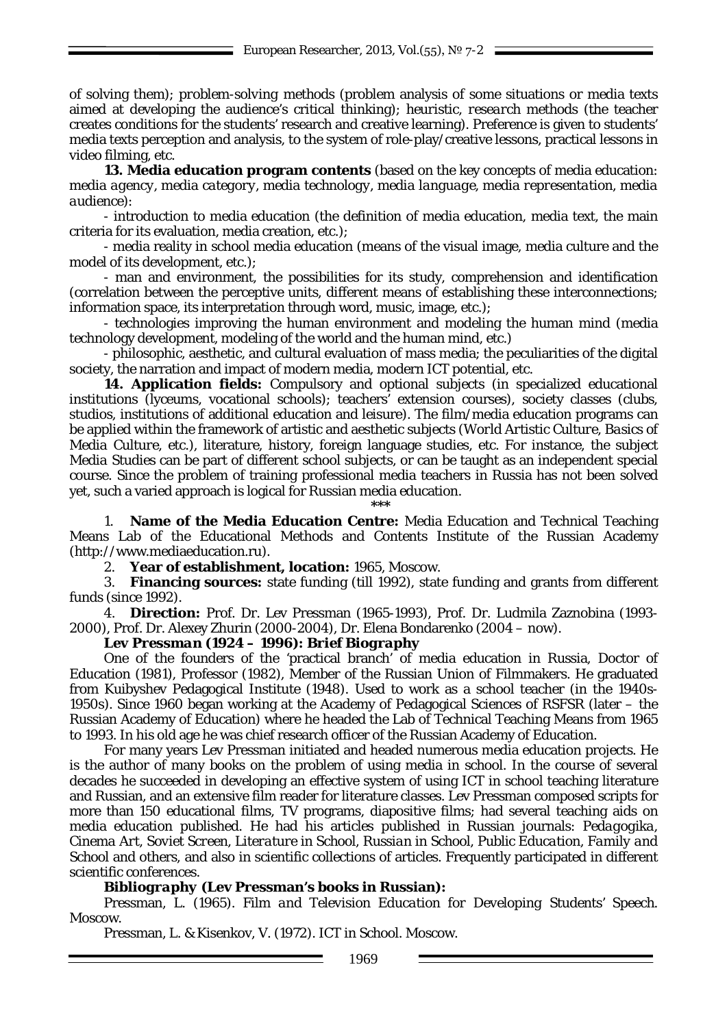of solving them); *problem-solving methods* (problem analysis of some situations or media texts aimed at developing the audience's critical thinking); *heuristic, research methods* (the teacher creates conditions for the students' research and creative learning). Preference is given to students' media texts perception and analysis, to the system of role-play/creative lessons, practical lessons in video filming, etc.

**13. Media education program contents** (based on the key concepts of media education: *media agency, media category, media technology, media language, media representation, media audience*):

- introduction to media education (the definition of media education, media text, the main criteria for its evaluation, media creation, etc.);

- media reality in school media education (means of the visual image, media culture and the model of its development, etc.):

- man and environment, the possibilities for its study, comprehension and identification (correlation between the perceptive units, different means of establishing these interconnections; information space, its interpretation through word, music, image, etc.);

- technologies improving the human environment and modeling the human mind (media technology development, modeling of the world and the human mind, etc.)

- philosophic, aesthetic, and cultural evaluation of mass media; the peculiarities of the digital society, the narration and impact of modern media, modern ICT potential, etc.

**14. Application fields:** Compulsory and optional subjects (in specialized educational institutions (lyceums, vocational schools); teachers' extension courses), society classes (clubs, studios, institutions of additional education and leisure). The film/media education programs can be applied within the framework of artistic and aesthetic subjects (*World Artistic Culture*, *Basics of Media Culture, etc.*), literature, history, foreign language studies, etc. For instance, the subject *Media Studies* can be part of different school subjects, or can be taught as an independent special course. Since the problem of training professional media teachers in Russia has not been solved yet, such a varied approach is logical for Russian media education.

**\*\*\*** 1. **Name of the Media Education Centre:** Media Education and Technical Teaching Means Lab of the Educational Methods and Contents Institute of the Russian Academy [\(http://www.mediaeducation.ru\)](http://www.mediaeducation.ru/).

2. **Year of establishment, location:** 1965, Moscow.

3. **Financing sources:** state funding (till 1992), state funding and grants from different funds (since 1992).

4. **Direction:** Prof. Dr. Lev Pressman (1965-1993), Prof. Dr. Ludmila Zaznobina (1993- 2000), Prof. Dr. Alexey Zhurin (2000-2004), Dr. Elena Bondarenko (2004 – now).

#### *Lev Pressman (1924 – 1996): Brief Biography*

One of the founders of the 'practical branch' of media education in Russia, Doctor of Education (1981), Professor (1982), Member of the Russian Union of Filmmakers. He graduated from Kuibyshev Pedagogical Institute (1948). Used to work as a school teacher (in the 1940s-1950s). Since 1960 began working at the Academy of Pedagogical Sciences of RSFSR (later – the Russian Academy of Education) where he headed the Lab of Technical Teaching Means from 1965 to 1993. In his old age he was chief research officer of the Russian Academy of Education.

For many years Lev Pressman initiated and headed numerous media education projects. He is the author of many books on the problem of using media in school. In the course of several decades he succeeded in developing an effective system of using ICT in school teaching literature and Russian, and an extensive film reader for literature classes. Lev Pressman composed scripts for more than 150 educational films, TV programs, diapositive films; had several teaching aids on media education published. He had his articles published in Russian journals: *Pedagogika, Cinema Art, Soviet Screen, Literature in School, Russian in School, Public Education, Family and School* and others, and also in scientific collections of articles. Frequently participated in different scientific conferences.

### *Bibliography* **(Lev Pressman's books in Russian):**

Pressman, L. (1965). *Film and Television Education for Developing Students' Speech.* Moscow.

Pressman, L. & Kisenkov, V. (1972). *ICT in School.* Moscow.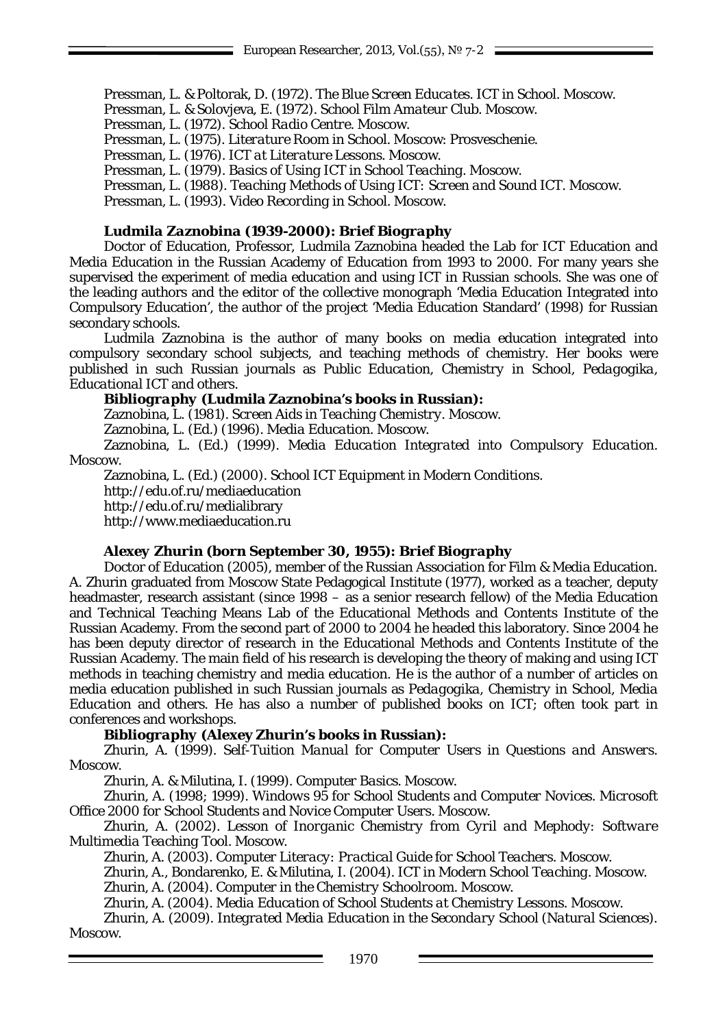Pressman, L. & Poltorak, D. (1972). *The Blue Screen Educates. ICT in School.* Moscow.

Pressman, L. & Solovjeva, E. (1972). *School Film Amateur Club.* Moscow.

Pressman, L. (1972). *School Radio Centre.* Moscow.

Pressman, L. (1975). *Literature Room in School.* Moscow: Prosveschenie.

Pressman, L. (1976). *ICT at Literature Lessons.* Moscow.

Pressman, L. (1979). *Basics of Using ICT in School Teaching.* Moscow.

Pressman, L. (1988). *Teaching Methods of Using ICT: Screen and Sound ICT.* Moscow.

Pressman, L. (1993). *Video Recording in School.* Moscow.

### *Ludmila Zaznobina (1939-2000): Brief Biography*

Doctor of Education, Professor, Ludmila Zaznobina headed the Lab for ICT Education and Media Education in the Russian Academy of Education from 1993 to 2000. For many years she supervised the experiment of media education and using ICT in Russian schools. She was one of the leading authors and the editor of the collective monograph 'Media Education Integrated into Compulsory Education', the author of the project 'Media Education Standard' (1998) for Russian secondary schools.

Ludmila Zaznobina is the author of many books on media education integrated into compulsory secondary school subjects, and teaching methods of chemistry. Her books were published in such Russian journals as *Public Education, Chemistry in School, Pedagogika, Educational ICT* and others.

### *Bibliography* **(Ludmila Zaznobina's books in Russian):**

Zaznobina, L. (1981). *Screen Aids in Teaching Chemistry.* Moscow.

Zaznobina, L. (Ed.) (1996). *Media Education.* Moscow.

Zaznobina, L. (Ed.) (1999). *Media Education Integrated into Compulsory Education*. Moscow.

Zaznobina, L. (Ed.) (2000). *School ICT Equipment in Modern Conditions.* <http://edu.of.ru/mediaeducation> <http://edu.of.ru/medialibrary> [http://www.mediaeducation.ru](http://www.mediaeducation.ru/) 

### *Alexey Zhurin (born September 30, 1955): Brief Biography*

Doctor of Education (2005), member of the Russian Association for Film & Media Education. A. Zhurin graduated from Moscow State Pedagogical Institute (1977), worked as a teacher, deputy headmaster, research assistant (since 1998 – as a senior research fellow) of the Media Education and Technical Teaching Means Lab of the Educational Methods and Contents Institute of the Russian Academy. From the second part of 2000 to 2004 he headed this laboratory. Since 2004 he has been deputy director of research in the Educational Methods and Contents Institute of the Russian Academy. The main field of his research is developing the theory of making and using ICT methods in teaching chemistry and media education. He is the author of a number of articles on media education published in such Russian journals as *Pedagogika, Chemistry in School, Media Education* and others. He has also a number of published books on ICT; often took part in conferences and workshops.

# *Bibliography* **(Alexey Zhurin's books in Russian):**

Zhurin, A. (1999). *Self-Tuition Manual for Computer Users in Questions and Answers.* Moscow.

Zhurin, A. & Milutina, I. (1999). *Computer Basics*. Moscow.

Zhurin, A. (1998; 1999). *Windows 95 for School Students and Computer Novices. Microsoft Office 2000 for School Students and Novice Computer Users*. Moscow.

Zhurin, A. (2002). *Lesson of Inorganic Chemistry from Cyril and Mephody: Software Multimedia Teaching Tool.* Moscow.

Zhurin, A. (2003). *Computer Literacy: Practical Guide for School Teachers.* Moscow.

Zhurin, A., Bondarenko, E. & Milutina, I. (2004). *ICT in Modern School Teaching.* Moscow.

Zhurin, A. (2004). *Computer in the Chemistry Schoolroom*. Moscow.

Zhurin, A. (2004). *Media Education of School Students at Chemistry Lessons.* Moscow.

Zhurin, A. (2009). *Integrated Media Education in the Secondary School (Natural Sciences).* Moscow.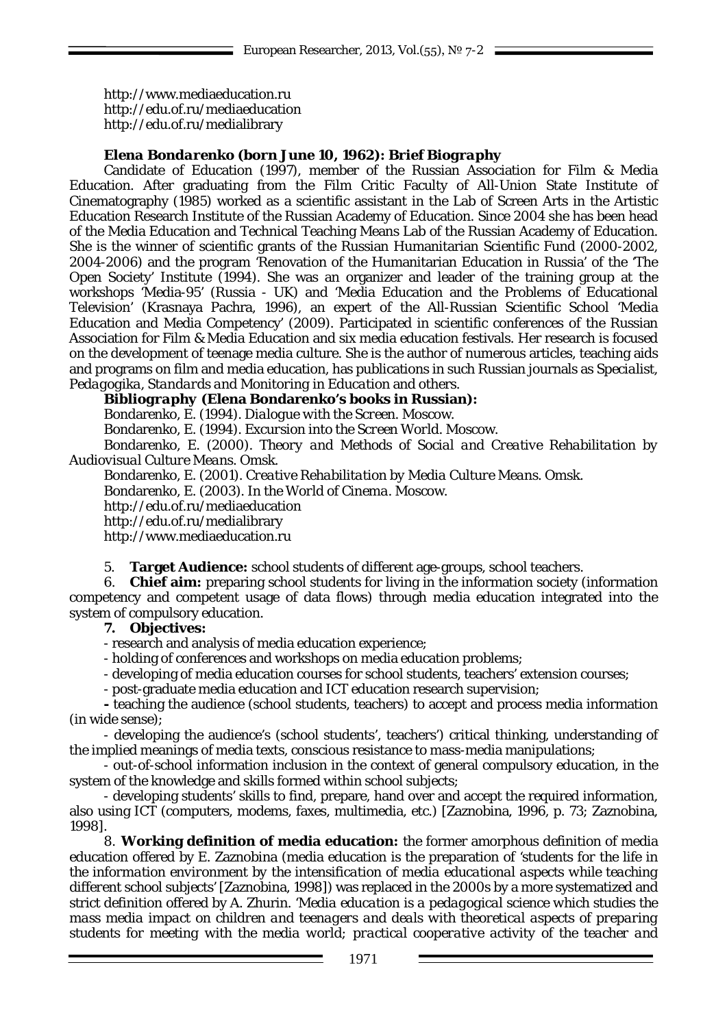[http://www.mediaeducation.ru](http://www.mediaeducation.ru/)  <http://edu.of.ru/mediaeducation> <http://edu.of.ru/medialibrary>

## *Elena Bondarenko (born June 10, 1962): Brief Biography*

Candidate of Education (1997), member of the Russian Association for Film & Media Education. After graduating from the Film Critic Faculty of All-Union State Institute of Cinematography (1985) worked as a scientific assistant in the Lab of Screen Arts in the Artistic Education Research Institute of the Russian Academy of Education. Since 2004 she has been head of the Media Education and Technical Teaching Means Lab of the Russian Academy of Education. She is the winner of scientific grants of the Russian Humanitarian Scientific Fund (2000-2002, 2004-2006) and the program 'Renovation of the Humanitarian Education in Russia' of the 'The Open Society' Institute (1994). She was an organizer and leader of the training group at the workshops 'Media-95' (Russia - UK) and 'Media Education and the Problems of Educational Television' (Krasnaya Pachra, 1996), an expert of the All-Russian Scientific School 'Media Education and Media Competency' (2009). Participated in scientific conferences of the Russian Association for Film & Media Education and six media education festivals. Her research is focused on the development of teenage media culture. She is the author of numerous articles, teaching aids and programs on film and media education, has publications in such Russian journals as *Specialist, Pedagogika, Standards and Monitoring in Education* and others.

## *Bibliography* **(Elena Bondarenko's books in Russian):**

Bondarenko, E. (1994). *Dialogue with the Screen.* Moscow.

Bondarenko, E. (1994). *Excursion into the Screen World.* Moscow.

Bondarenko, E. (2000). *Theory and Methods of Social and Creative Rehabilitation by Audiovisual Culture Means.* Omsk.

Bondarenko, E. (2001). *Creative Rehabilitation by Media Culture Means.* Omsk. Bondarenko, E. (2003). *In the World of Cinema.* Moscow. <http://edu.of.ru/mediaeducation> <http://edu.of.ru/medialibrary> [http://www.mediaeducation.ru](http://www.mediaeducation.ru/) 

5. **Target Audience:** school students of different age-groups, school teachers.<br>6. **Chief aim:** preparing school students for living in the information society (

**Chief aim:** preparing school students for living in the information society (information competency and competent usage of data flows) through media education integrated into the system of compulsory education.

### **7. Objectives:**

- research and analysis of media education experience;
- holding of conferences and workshops on media education problems;
- developing of media education courses for school students, teachers' extension courses;
- post-graduate media education and ICT education research supervision;

**-** teaching the audience (school students, teachers) to accept and process media information (in wide sense);

- developing the audience's (school students', teachers') critical thinking, understanding of the implied meanings of media texts, conscious resistance to mass-media manipulations;

- out-of-school information inclusion in the context of general compulsory education, in the system of the knowledge and skills formed within school subjects;

- developing students' skills to find, prepare, hand over and accept the required information, also using ICT (computers, modems, faxes, multimedia, etc.) [Zaznobina, 1996, p. 73; Zaznobina, 1998].

8. **Working definition of media education:** the former amorphous definition of media education offered by E. Zaznobina (media education is the preparation of *'students for the life in the information environment by the intensification of media educational aspects while teaching different school subjects'* [Zaznobina, 1998]) was replaced in the 2000s by a more systematized and strict definition offered by A. Zhurin. '*Media education is a pedagogical science which studies the mass media impact on children and teenagers and deals with theoretical aspects of preparing students for meeting with the media world; practical cooperative activity of the teacher and*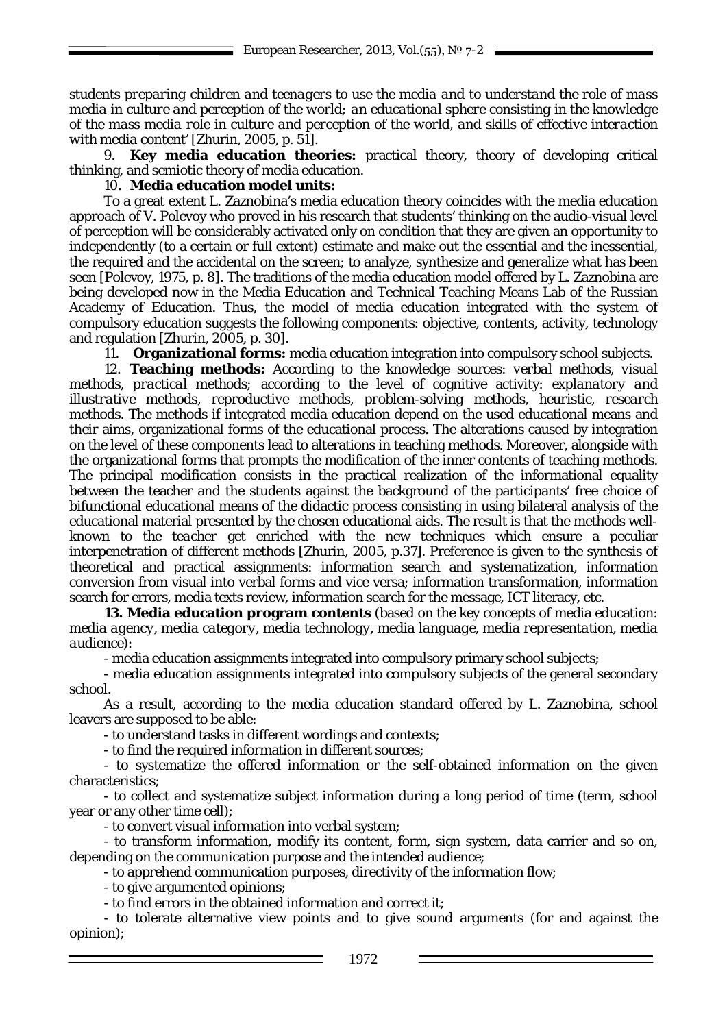*students preparing children and teenagers to use the media and to understand the role of mass media in culture and perception of the world; an educational sphere consisting in the knowledge of the mass media role in culture and perception of the world, and skills of effective interaction with media content'* [Zhurin, 2005, p. 51].

9. **Key media education theories:** practical theory, theory of developing critical thinking, and semiotic theory of media education.

# 10. **Media education model units:**

To a great extent L. Zaznobina's media education theory coincides with the media education approach of V. Polevoy who proved in his research that students' thinking on the audio-visual level of perception will be considerably activated only on condition that they are given an opportunity to independently (to a certain or full extent) estimate and make out the essential and the inessential, the required and the accidental on the screen; to analyze, synthesize and generalize what has been seen [Polevoy, 1975, p. 8]. The traditions of the media education model offered by L. Zaznobina are being developed now in the Media Education and Technical Teaching Means Lab of the Russian Academy of Education. Thus, the model of media education integrated with the system of compulsory education suggests the following components: objective, contents, activity, technology and regulation [Zhurin, 2005, p. 30].

11. **Organizational forms:** media education integration into compulsory school subjects.

12. **Teaching methods:** According to the knowledge sources: *verbal methods, visual methods, practical methods;* according to the level of cognitive activity: *explanatory and illustrative* methods, *reproductive methods*, *problem-solving methods*, *heuristic, research methods.* The methods if integrated media education depend on the used educational means and their aims, organizational forms of the educational process. The alterations caused by integration on the level of these components lead to alterations in teaching methods. Moreover, alongside with the organizational forms that prompts the modification of the inner contents of teaching methods. The principal modification consists in the practical realization of the informational equality between the teacher and the students against the background of the participants' free choice of bifunctional educational means of the didactic process consisting in using bilateral analysis of the educational material presented by the chosen educational aids. The result is that the methods wellknown to *the teacher* get enriched with the new techniques which ensure a peculiar interpenetration of different methods [Zhurin, 2005, p.37]. Preference is given to the synthesis of theoretical and practical assignments: information search and systematization, information conversion from visual into verbal forms and vice versa; information transformation, information search for errors, media texts review, information search for the message, ICT literacy, etc.

**13. Media education program contents** (based on the key concepts of media education: *media agency, media category, media technology, media language, media representation, media audience*):

- media education assignments integrated into compulsory primary school subjects;

- media education assignments integrated into compulsory subjects of the general secondary school.

As a result, according to the media education standard offered by L. Zaznobina, school leavers are supposed to be able:

- to understand tasks in different wordings and contexts;

- to find the required information in different sources;

- to systematize the offered information or the self-obtained information on the given characteristics;

- to collect and systematize subject information during a long period of time (term, school year or any other time cell);

- to convert visual information into verbal system;

- to transform information, modify its content, form, sign system, data carrier and so on, depending on the communication purpose and the intended audience;

- to apprehend communication purposes, directivity of the information flow;

- to give argumented opinions;

- to find errors in the obtained information and correct it;

- to tolerate alternative view points and to give sound arguments (for and against the opinion);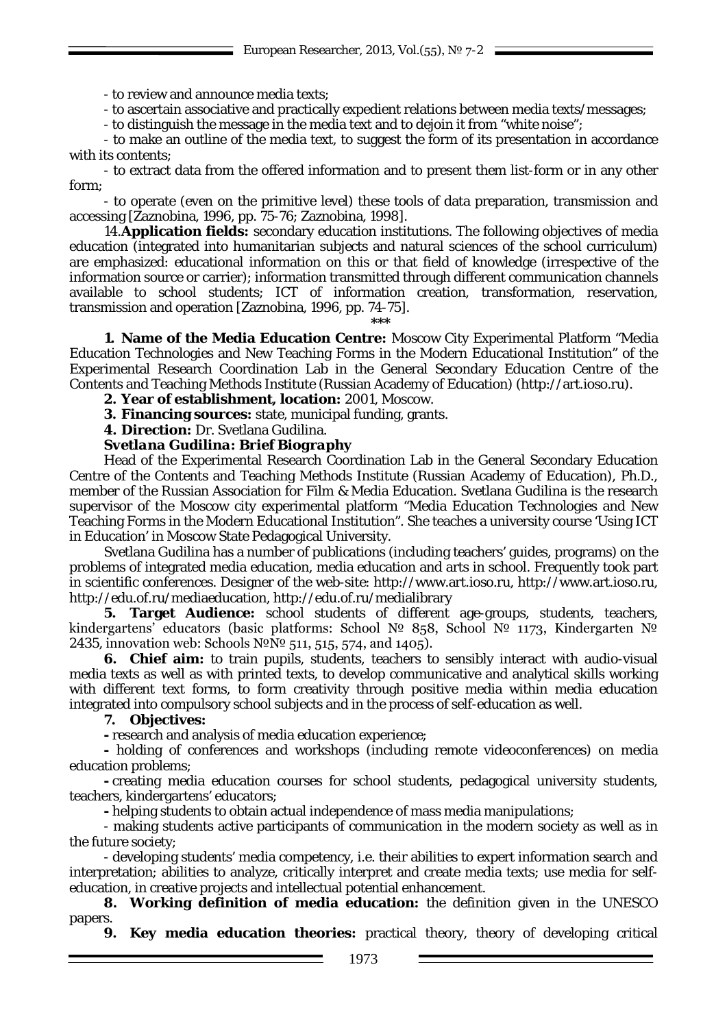European Researcher, 2013, Vol.(55),  $N^{\circ}$  7-2

- to review and announce media texts;

- to ascertain associative and practically expedient relations between media texts/messages;

- to distinguish the message in the media text and to dejoin it from "white noise";

- to make an outline of the media text, to suggest the form of its presentation in accordance with its contents;

- to extract data from the offered information and to present them list-form or in any other form;

- to operate (even on the primitive level) these tools of data preparation, transmission and accessing [Zaznobina, 1996, pp. 75-76; Zaznobina, 1998].

14.**Application fields:** secondary education institutions. The following objectives of media education (integrated into humanitarian subjects and natural sciences of the school curriculum) are emphasized: educational information on this or that field of knowledge (irrespective of the information source or carrier); information transmitted through different communication channels available to school students; ICT of information creation, transformation, reservation, transmission and operation [Zaznobina, 1996, pp. 74-75].

**\*\*\***

**1. Name of the Media Education Centre:** Moscow City Experimental Platform "Media Education Technologies and New Teaching Forms in the Modern Educational Institution" of the Experimental Research Coordination Lab in the General Secondary Education Centre of the Contents and Teaching Methods Institute (Russian Academy of Education) [\(http://art.ioso.ru\)](http://art.ioso.ru/).

**2. Year of establishment, location:** 2001, Moscow.

**3. Financing sources:** state, municipal funding, grants.

**4. Direction:** Dr. Svetlana Gudilina.

*Svetlana Gudilina: Brief Biography*

Head of the Experimental Research Coordination Lab in the General Secondary Education Centre of the Contents and Teaching Methods Institute (Russian Academy of Education), Ph.D., member of the Russian Association for Film & Media Education. Svetlana Gudilina is the research supervisor of the Moscow city experimental platform "Media Education Technologies and New Teaching Forms in the Modern Educational Institution". She teaches a university course 'Using ICT in Education' in Moscow State Pedagogical University.

Svetlana Gudilina has a number of publications (including teachers' guides, programs) on the problems of integrated media education, media education and arts in school. Frequently took part in scientific conferences. Designer of the web-site: [http://www.art.ioso.ru, http://www.art.ioso.ru,](http://www.art.ioso.ru/) [http://edu.of.ru/mediaeducation, http://edu.of.ru/medialibrary](http://edu.of.ru/mediaeducation,)

**5. Target Audience:** school students of different age-groups, students, teachers, kindergartens' educators (basic platforms: School № 858, School № 1173, Kindergarten № 2435, innovation web: Schools  $N^{\circ}N^{\circ}$  511, 515, 574, and 1405).

**6. Chief aim:** to train pupils, students, teachers to sensibly interact with audio-visual media texts as well as with printed texts, to develop communicative and analytical skills working with different text forms, to form creativity through positive media within media education integrated into compulsory school subjects and in the process of self-education as well.

#### **7. Objectives:**

**-** research and analysis of media education experience;

**-** holding of conferences and workshops (including remote videoconferences) on media education problems;

**-** creating media education courses for school students, pedagogical university students, teachers, kindergartens' educators;

**-** helping students to obtain actual independence of mass media manipulations;

- making students active participants of communication in the modern society as well as in the future society;

- developing students' media competency, i.e. their abilities to expert information search and interpretation; abilities to analyze, critically interpret and create media texts; use media for selfeducation, in creative projects and intellectual potential enhancement.

**8. Working definition of media education:** the definition given in the UNESCO papers.

**9. Key media education theories:** practical theory, theory of developing critical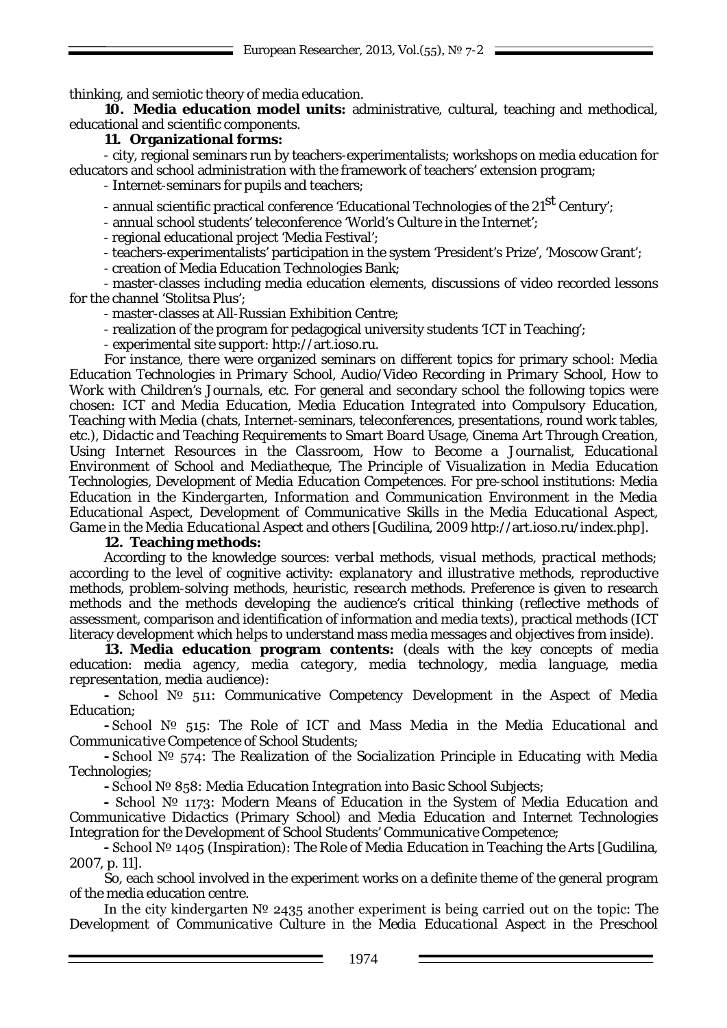thinking, and semiotic theory of media education.

**10. Media education model units:** administrative, cultural, teaching and methodical, educational and scientific components.

## **11. Organizational forms:**

- city, regional seminars run by teachers-experimentalists; workshops on media education for educators and school administration with the framework of teachers' extension program;

- Internet-seminars for pupils and teachers;

- annual scientific practical conference 'Educational Technologies of the 21<sup>st</sup> Century':

- annual school students' teleconference 'World's Culture in the Internet';

- regional educational project 'Media Festival';

- teachers-experimentalists' participation in the system 'President's Prize', 'Moscow Grant';

- creation of Media Education Technologies Bank;

- master-classes including media education elements, discussions of video recorded lessons for the channel 'Stolitsa Plus';

- master-classes at All-Russian Exhibition Centre;

- realization of the program for pedagogical university students 'ICT in Teaching';

- experimental site support[: http://art.ioso.ru.](http://art.ioso.ru/)

For instance, there were organized seminars on different topics for primary school: *Media Education Technologies in Primary School, Audio/Video Recording in Primary School, How to Work with Children's Journals, etc. For general and secondary school the following topics were* chosen*: ICT and Media Education, Media Education Integrated into Compulsory Education, Teaching with Media* (chats, Internet-seminars, teleconferences, presentations, round work tables, etc.)*, Didactic and Teaching Requirements to Smart Board Usage, Cinema Art Through Creation, Using Internet Resources in the Classroom, How to Become a Journalist, Educational Environment of School and Mediatheque, The Principle of Visualization in Media Education Technologies, Development of Media Education Competences.* For pre-school institutions: *Media Education in the Kindergarten, Information and Communication Environment in the Media Educational Aspect, Development of Communicative Skills in the Media Educational Aspect, Game in the Media Educational Aspect* and others [Gudilina, 2009 [http://art.ioso.ru/index.php\]](http://art.ioso.ru/index.php).

### *12.* **Teaching methods:**

According to the knowledge sources: *verbal methods, visual methods, practical methods;*  according to the level of cognitive activity: *explanatory and illustrative* methods, *reproductive methods*, *problem-solving methods*, *heuristic, research methods.* Preference is given to research methods and the methods developing the audience's critical thinking (reflective methods of assessment, comparison and identification of information and media texts), practical methods (ICT literacy development which helps to understand mass media messages and objectives from inside).

**13. Media education program contents:** (deals with the key concepts of media education: *media agency, media category, media technology, media language, media representation, media audience*):

**-** School № 511: *Communicative Competency Development in the Aspect of Media Education*;

**-** School № 515: *The Role of ICT and Mass Media in the Media Educational and Communicative Competence of School Students;*

**-** School № 574: *The Realization of the Socialization Principle in Educating with Media Technologies;*

**-** School № 858: *Media Education Integration into Basic School Subjects;*

**-** School № 1173: *Modern Means of Education in the System of Media Education and Communicative Didactics* (Primary School) and *Media Education and Internet Technologies Integration for the Development of School Students' Communicative Competence;* 

**-** School № 1405 (*Inspiration*): *The Role of Media Education in Teaching the Arts* [Gudilina, 2007, p. 11].

So, each school involved in the experiment works on a definite theme of the general program of the media education centre.

In the city kindergarten № 2435 another experiment is being carried out on the topic: *The Development of Communicative Culture in the Media Educational Aspect in the Preschool*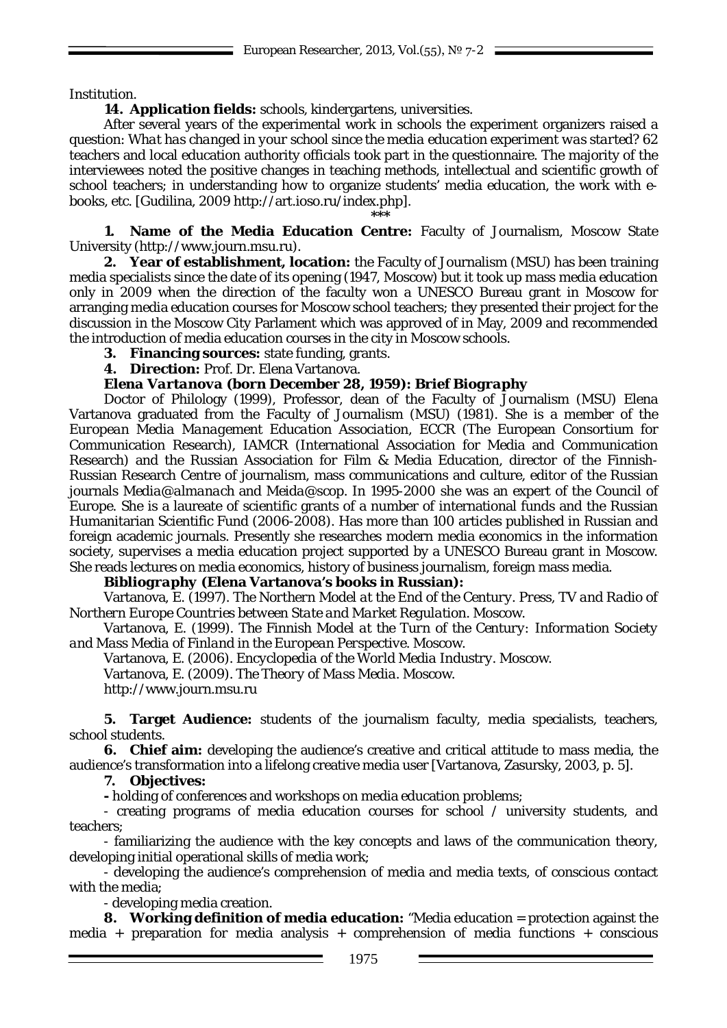*Institution.*

**14. Application fields:** schools, kindergartens, universities.

After several years of the experimental work in schools the experiment organizers raised a question: *What has changed in your school since the media education experiment was started?* 62 teachers and local education authority officials took part in the questionnaire. The majority of the interviewees noted the positive changes in teaching methods, intellectual and scientific growth of school teachers; in understanding how to organize students' media education, the work with ebooks, etc. [Gudilina, 2009 [http://art.ioso.ru/index.php\]](http://art.ioso.ru/index.php).

**\*\*\* 1. Name of the Media Education Centre:** Faculty of Journalism, Moscow State University [\(http://www.journ.msu.ru\)](http://www.journ.msu.ru/).

**2. Year of establishment, location:** the Faculty of Journalism (MSU) has been training media specialists since the date of its opening (1947, Moscow) but it took up mass media education only in 2009 when the direction of the faculty won a UNESCO Bureau grant in Moscow for arranging media education courses for Moscow school teachers; they presented their project for the discussion in the Moscow City Parlament which was approved of in May, 2009 and recommended the introduction of media education courses in the city in Moscow schools.

**3. Financing sources:** state funding, grants.

**4. Direction:** Prof. Dr. Elena Vartanova.

## *Elena Vartanova (born December 28, 1959): Brief Biography*

Doctor of Philology (1999), Professor, dean of the Faculty of Journalism (MSU) Elena Vartanova graduated from the Faculty of Journalism (MSU) (1981). She is a member of the *European Media Management Education Association*, ECCR (The European Consortium for Communication Research), IAMCR (International Association for Media and Communication Research) and the Russian Association for Film & Media Education, director of the Finnish-Russian Research Centre of journalism, mass communications and culture, editor of the Russian journals *Media@almanach* and *Meida@scop.* In 1995-2000 she was an expert of the Council of Europe. She is a laureate of scientific grants of a number of international funds and the Russian Humanitarian Scientific Fund (2006-2008). Has more than 100 articles published in Russian and foreign academic journals. Presently she researches modern media economics in the information society, supervises a media education project supported by a UNESCO Bureau grant in Moscow. She reads lectures on media economics, history of business journalism, foreign mass media.

# *Bibliography* **(Elena Vartanova's books in Russian):**

Vartanova, E. (1997). *The Northern Model at the End of the Century. Press, TV and Radio of Northern Europe Countries between State and Market Regulation*. Moscow.

Vartanova, E. (1999). *The Finnish Model at the Turn of the Century: Information Society and Mass Media of Finland in the European Perspective*. Moscow.

Vartanova, E. (2006). *Encyclopedia of the World Media Industry.* Moscow.

Vartanova, E. (2009). *The Theory of Mass Media.* Moscow.

[http://www.journ.msu.ru](http://www.journ.msu.ru/)

**5. Target Audience:** students of the journalism faculty, media specialists, teachers, school students.

**6. Chief aim:** developing the audience's creative and critical attitude to mass media, the audience's transformation into a lifelong creative media user [Vartanova, Zasursky, 2003, p. 5].

### **7. Objectives:**

**-** holding of conferences and workshops on media education problems;

- creating programs of media education courses for school / university students, and teachers;

- familiarizing the audience with the key concepts and laws of the communication theory, developing initial operational skills of media work;

- developing the audience's comprehension of media and media texts, of conscious contact with the media;

- developing media creation.

**8. Working definition of media education:** "Media education = protection against the media + preparation for media analysis + comprehension of media functions + conscious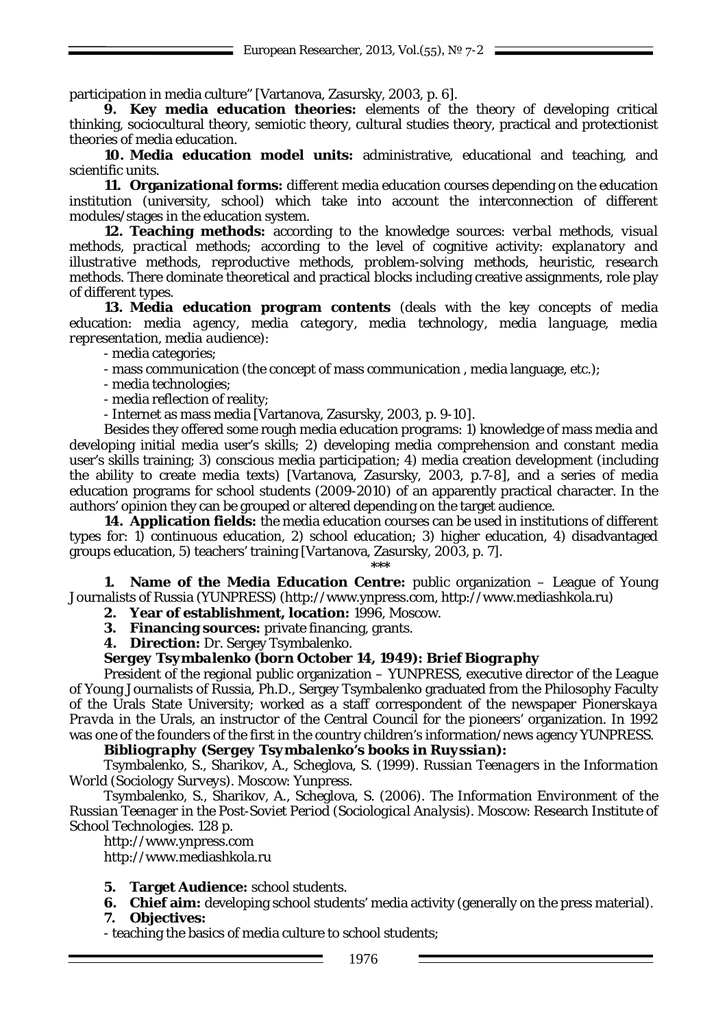participation in media culture" [Vartanova, Zasursky, 2003, p. 6].

**9. Key media education theories:** elements of the theory of developing critical thinking, sociocultural theory, semiotic theory, cultural studies theory, practical and protectionist theories of media education.

**10. Media education model units:** administrative, educational and teaching, and scientific units.

**11. Organizational forms:** different media education courses depending on the education institution (university, school) which take into account the interconnection of different modules/stages in the education system.

**12. Teaching methods:** according to the knowledge sources: *verbal methods, visual methods, practical methods;* according to the level of cognitive activity: *explanatory and illustrative* methods, *reproductive methods*, *problem-solving methods*, *heuristic, research methods.* There dominate theoretical and practical blocks including creative assignments, role play of different types.

**13. Media education program contents** (deals with the key concepts of media education: *media agency, media category, media technology, media language, media representation, media audience*):

- media categories;

- mass communication (the concept of mass communication , media language, etc.);

- media technologies;

- media reflection of reality;

- Internet as mass media [Vartanova, Zasursky, 2003, p. 9-10].

Besides they offered some rough media education programs: 1) knowledge of mass media and developing initial media user's skills; 2) developing media comprehension and constant media user's skills training; 3) conscious media participation; 4) media creation development (including the ability to create media texts) [Vartanova, Zasursky, 2003, p.7-8], and a series of media education programs for school students (2009-2010) of an apparently practical character. In the authors' opinion they can be grouped or altered depending on the target audience.

**14. Application fields:** the media education courses can be used in institutions of different types for: 1) continuous education, 2) school education; 3) higher education, 4) disadvantaged groups education, 5) teachers' training [Vartanova, Zasursky, 2003, p. 7].

**\*\*\* 1. Name of the Media Education Centre:** public organization – League of Young Journalists of Russia (YUNPRESS) [\(http://www.ynpress.com,](http://www.ynpress.com/) [http://www.mediashkola.ru\)](http://www.mediashkola.ru/)

**2. Year of establishment, location:** 1996, Moscow.

**3. Financing sources:** private financing, grants.

**4. Direction:** Dr. Sergey Tsymbalenko.

# *Sergey Tsymbalenko (born October 14, 1949): Brief Biography*

President of the regional public organization – YUNPRESS, executive director of the League of Young Journalists of Russia, Ph.D., Sergey Tsymbalenko graduated from the Philosophy Faculty of the Urals State University; worked as a staff correspondent of the newspaper *Pionerskaya Pravda* in the Urals, an instructor of the Central Council for the pioneers' organization. In 1992 was one of the founders of the first in the country children's information/news agency YUNPRESS.

### *Bibliography* **(***Sergey Tsymbalenko's books in Ruyssian***):**

Tsymbalenko, S., Sharikov, A., Scheglova, S. (1999). *Russian Teenagers in the Information World (Sociology Surveys).* Moscow: Yunpress.

Tsymbalenko, S., Sharikov, A., Scheglova, S. (2006). *The Information Environment of the Russian Teenager in the Post-Soviet Period (Sociological Analysis).* Moscow: Research Institute of School Technologies. 128 p.

[http://www.ynpress.com](http://www.ynpress.com/) [http://www.mediashkola.ru](http://www.mediashkola.ru/)

**5. Target Audience:** school students.

**6. Chief aim:** developing school students' media activity (generally on the press material).

### **7. Objectives:**

- teaching the basics of media culture to school students;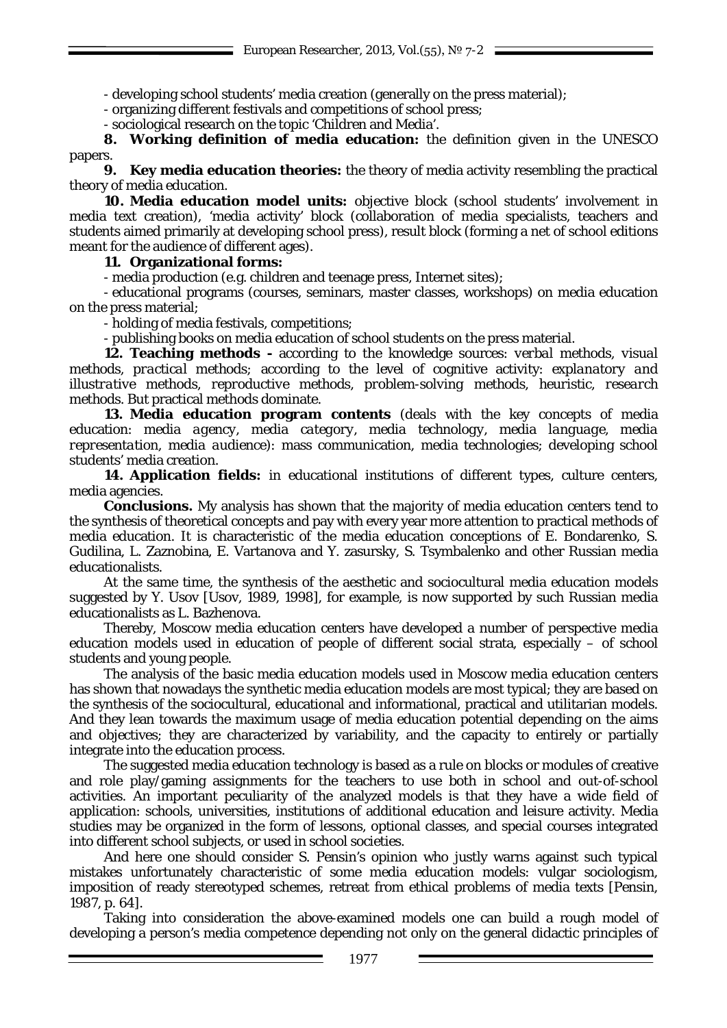- developing school students' media creation (generally on the press material);

- organizing different festivals and competitions of school press;

- sociological research on the topic 'Children and Media'.

**8. Working definition of media education:** the definition given in the UNESCO papers.

**9. Key media education theories:** the theory of media activity resembling the practical theory of media education.

**10. Media education model units:** objective block (school students' involvement in media text creation), 'media activity' block (collaboration of media specialists, teachers and students aimed primarily at developing school press), result block (forming a net of school editions meant for the audience of different ages).

### **11. Organizational forms:**

- media production (e.g. children and teenage press, Internet sites);

- educational programs (courses, seminars, master classes, workshops) on media education on the press material;

- holding of media festivals, competitions;

- publishing books on media education of school students on the press material.

**12. Teaching methods -** according to the knowledge sources: *verbal methods, visual methods, practical methods;* according to the level of cognitive activity: *explanatory and illustrative* methods, *reproductive methods*, *problem-solving methods*, *heuristic, research methods.* But practical methods dominate.

**13. Media education program contents** (deals with the key concepts of media education: *media agency, media category, media technology, media language, media representation, media audience*): mass communication, media technologies; developing school students' media creation.

**14. Application fields:** in educational institutions of different types, culture centers, media agencies.

**Conclusions.** My analysis has shown that the majority of media education centers tend to the synthesis of theoretical concepts and pay with every year more attention to practical methods of media education. It is characteristic of the media education conceptions of E. Bondarenko, S. Gudilina, L. Zaznobina, E. Vartanova and Y. zasursky, S. Tsymbalenko and other Russian media educationalists.

At the same time, the synthesis of the aesthetic and sociocultural media education models suggested by Y. Usov [Usov, 1989, 1998], for example, is now supported by such Russian media educationalists as L. Bazhenova.

Thereby, Moscow media education centers have developed a number of perspective media education models used in education of people of different social strata, especially – of school students and young people.

The analysis of the basic media education models used in Moscow media education centers has shown that nowadays the synthetic media education models are most typical; they are based on the synthesis of the sociocultural, educational and informational, practical and utilitarian models. And they lean towards the maximum usage of media education potential depending on the aims and objectives; they are characterized by variability, and the capacity to entirely or partially integrate into the education process.

The suggested media education technology is based as a rule on blocks or modules of creative and role play/gaming assignments for the teachers to use both in school and out-of-school activities. An important peculiarity of the analyzed models is that they have a wide field of application: schools, universities, institutions of additional education and leisure activity. Media studies may be organized in the form of lessons, optional classes, and special courses integrated into different school subjects, or used in school societies.

And here one should consider S. Pensin's opinion who justly warns against such typical mistakes unfortunately characteristic of some media education models: vulgar sociologism, imposition of ready stereotyped schemes, retreat from ethical problems of media texts [Pensin, 1987, p. 64].

Taking into consideration the above-examined models one can build a rough model of developing a person's media competence depending not only on the general didactic principles of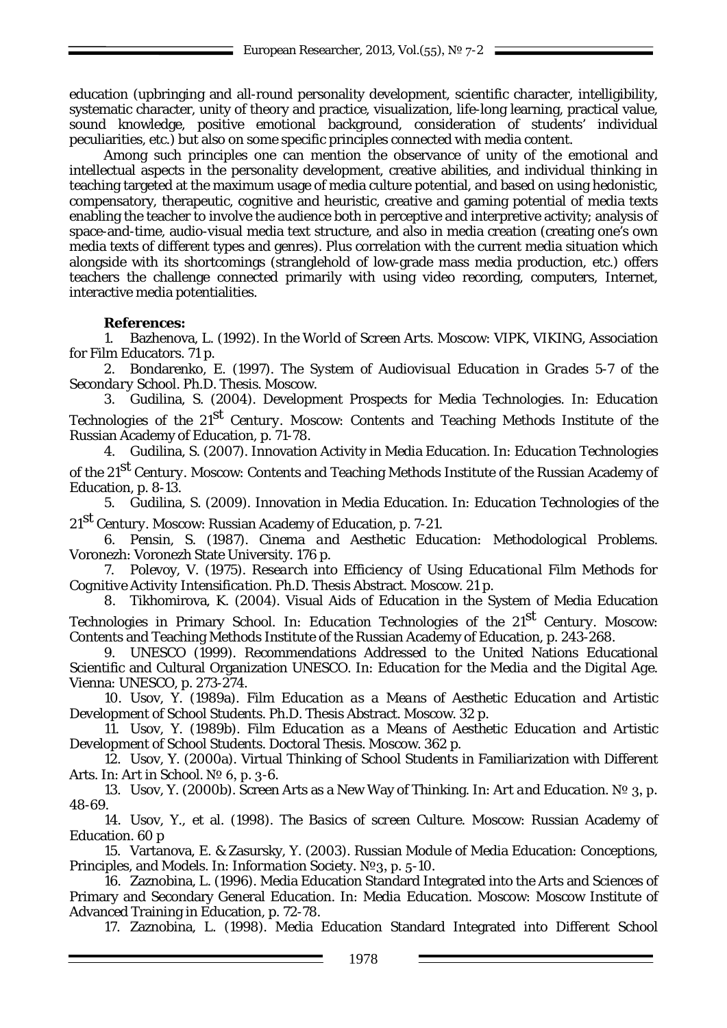education (upbringing and all-round personality development, scientific character, intelligibility, systematic character, unity of theory and practice, visualization, life-long learning, practical value, sound knowledge, positive emotional background, consideration of students' individual peculiarities, etc.) but also on some specific principles connected with media content.

Among such principles one can mention the observance of unity of the emotional and intellectual aspects in the personality development, creative abilities, and individual thinking in teaching targeted at the maximum usage of media culture potential, and based on using hedonistic, compensatory, therapeutic, cognitive and heuristic, creative and gaming potential of media texts enabling the teacher to involve the audience both in perceptive and interpretive activity; analysis of space-and-time, audio-visual media text structure, and also in media creation (creating one's own media texts of different types and genres). Plus correlation with the current media situation which alongside with its shortcomings (stranglehold of low-grade mass media production, etc.) offers teachers the challenge connected primarily with using video recording, computers, Internet, interactive media potentialities.

#### **References:**

1. Bazhenova, L. (1992). *In the World of Screen Arts.* Moscow: VIPK, VIKING, Association for Film Educators. 71 p.

2. Bondarenko, E. (1997). *The System of Audiovisual Education in Grades 5-7 of the Secondary School.* Ph.D. Thesis. Moscow.

3. Gudilina, S. (2004). Development Prospects for Media Technologies. In: *Education Technologies of the 21st Century.* Moscow: Contents and Teaching Methods Institute of the Russian Academy of Education, p. 71-78.

4. Gudilina, S. (2007). Innovation Activity in Media Education. In: *Education Technologies of the 21st Century.* Moscow: Contents and Teaching Methods Institute of the Russian Academy of Education, p. 8-13.

5. Gudilina, S. (2009). Innovation in Media Education. In: *Education Technologies of the <sup>21</sup>st Century.* Moscow: Russian Academy of Education, p. 7-21.

6. Pensin, S. (1987). *Cinema and Aesthetic Education: Methodological Problems.* Voronezh: Voronezh State University. 176 p.

7. Polevoy, V. (1975). *Research into Efficiency of Using Educational Film Methods for Cognitive Activity Intensification.* Ph.D. Thesis Abstract. Moscow. 21 p.

8. Tikhomirova, K. (2004). Visual Aids of Education in the System of Media Education

Technologies in Primary School. In: *Education Technologies of the 21st Century.* Moscow: Contents and Teaching Methods Institute of the Russian Academy of Education, p. 243-268.

9. UNESCO (1999). Recommendations Addressed to the United Nations Educational Scientific and Cultural Organization UNESCO. In: *Education for the Media and the Digital Age*. Vienna: UNESCO, p. 273-274.

10. Usov, Y. (1989a). *Film Education as a Means of Aesthetic Education and Artistic Development of School Students.* Ph.D. Thesis Abstract. Moscow. 32 p.

11. Usov, Y. (1989b). *Film Education as a Means of Aesthetic Education and Artistic Development of School Students.* Doctoral Thesis. Moscow. 362 p.

12. Usov, Y. (2000a). Virtual Thinking of School Students in Familiarization with Different Arts. In: *Art in School.* № 6, p. 3-6.

13. Usov, Y. (2000b). Screen Arts as a New Way of Thinking. In: *Art and Education.* № 3, p. 48-69.

14. Usov, Y., et al. (1998). *The Basics of screen Culture.* Moscow: Russian Academy of Education. 60 p

15. Vartanova, E. & Zasursky, Y. (2003). Russian Module of Media Education: Conceptions, Principles, and Models. In: *Information Society*. №3, p. 5-10.

16. Zaznobina, L. (1996). Media Education Standard Integrated into the Arts and Sciences of Primary and Secondary General Education. In: *Media Education*. Moscow: Moscow Institute of Advanced Training in Education, p. 72-78.

17. Zaznobina, L. (1998). Media Education Standard Integrated into Different School